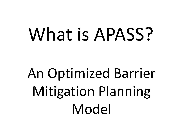# What is APASS?

## An Optimized Barrier Mitigation Planning Model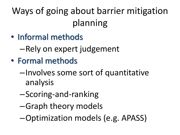## Ways of going about barrier mitigation planning

- Informal methods
	- –Rely on expert judgement
- Formal methods
	- –Involves some sort of quantitative analysis
	- –Scoring-and-ranking
	- –Graph theory models
	- –Optimization models (e.g. APASS)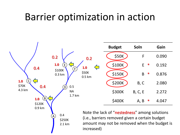#### Barrier optimization in action

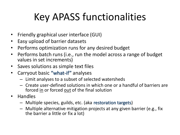## Key APASS functionalities

- Friendly graphical user interface (GUI)
- Easy upload of barrier datasets
- Performs optimization runs for any desired budget
- Performs batch runs (i.e., run the model across a range of budget values in set increments)
- Saves solutions as simple text files
- Carryout basic "what-if" analyses
	- Limit analyses to a subset of selected watersheds
	- Create user-defined solutions in which one or a handful of barriers are forced in or forced out of the final solution
- Handles
	- Multiple species, guilds, etc. (aka restoration targets)
	- Multiple alternative mitigation projects at any given barrier (e.g., fix the barrier a little or fix a lot)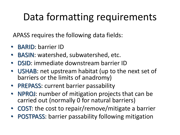## Data formatting requirements

APASS requires the following data fields:

- BARID: barrier ID
- BASIN: watershed, subwatershed, etc.
- DSID: immediate downstream barrier ID
- USHAB: net upstream habitat (up to the next set of barriers or the limits of anadromy)
- PREPASS: current barrier passability
- NPROJ: number of mitigation projects that can be carried out (normally 0 for natural barriers)
- COST: the cost to repair/remove/mitigate a barrier
- POSTPASS: barrier passability following mitigation